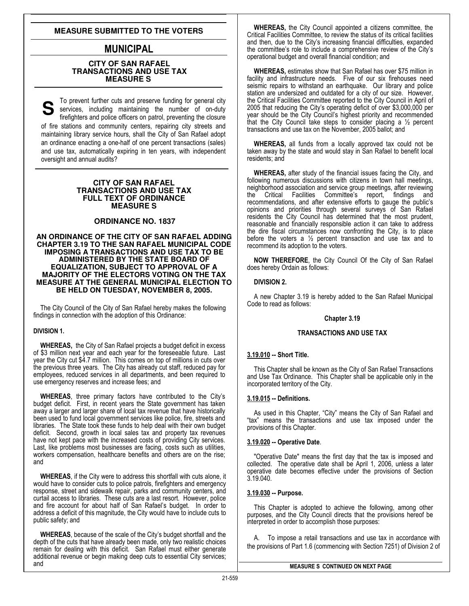# **MEASURE SUBMITTED TO THE VOTERS**

# MUNICIPAL

# **CITY OF SAN RAFAEL TRANSACTIONS AND USE TAX MEASURE S**

To prevent further cuts and preserve funding for general city services, including maintaining the number of on-duty firefighters and police officers on patrol, preventing the closure of fire stations and community centers, repairing city streets and maintaining library service hours, shall the City of San Rafael adopt an ordinance enacting a one-half of one percent transactions (sales) and use tax, automatically expiring in ten years, with independent oversight and annual audits?

#### **CITY OF SAN RAFAEL TRANSACTIONS AND USE TAX FULL TEXT OF ORDINANCE MEASURE S**

# **ORDINANCE NO. 1837**

#### **AN ORDINANCE OF THE CITY OF SAN RAFAEL ADDING CHAPTER 3.19 TO THE SAN RAFAEL MUNICIPAL CODE IMPOSING A TRANSACTIONS AND USE TAX TO BE ADMINISTERED BY THE STATE BOARD OF EQUALIZATION, SUBJECT TO APPROVAL OF A MAJORITY OF THE ELECTORS VOTING ON THE TAX MEASURE AT THE GENERAL MUNICIPAL ELECTION TO BE HELD ON TUESDAY, NOVEMBER 8, 2005.**

The City Council of the City of San Rafael hereby makes the following findings in connection with the adoption of this Ordinance:

# DIVISION 1.

WHEREAS, the City of San Rafael projects a budget deficit in excess of \$3 million next year and each year for the foreseeable future. Last year the City cut \$4.7 million. This comes on top of millions in cuts over the previous three years. The City has already cut staff, reduced pay for employees, reduced services in all departments, and been required to use emergency reserves and increase fees; and

WHEREAS, three primary factors have contributed to the City's budget deficit. First, in recent years the State government has taken away a larger and larger share of local tax revenue that have historically been used to fund local government services like police, fire, streets and libraries. The State took these funds to help deal with their own budget deficit. Second, growth in local sales tax and property tax revenues have not kept pace with the increased costs of providing City services. Last, like problems most businesses are facing, costs such as utilities, workers compensation, healthcare benefits and others are on the rise; and

WHEREAS, if the City were to address this shortfall with cuts alone, it would have to consider cuts to police patrols, firefighters and emergency response, street and sidewalk repair, parks and community centers, and curtail access to libraries. These cuts are a last resort. However, police and fire account for about half of San Rafael's budget. In order to address a deficit of this magnitude, the City would have to include cuts to public safety; and

WHEREAS, because of the scale of the City's budget shortfall and the depth of the cuts that have already been made, only two realistic choices remain for dealing with this deficit. San Rafael must either generate additional revenue or begin making deep cuts to essential City services; and

WHEREAS, the City Council appointed a citizens committee, the Critical Facilities Committee, to review the status of its critical facilities and then, due to the City's increasing financial difficulties, expanded the committee's role to include a comprehensive review of the City's operational budget and overall financial condition; and

WHEREAS, estimates show that San Rafael has over \$75 million in facility and infrastructure needs. Five of our six firehouses need seismic repairs to withstand an earthquake. Our library and police station are undersized and outdated for a city of our size. However, the Critical Facilities Committee reported to the City Council in April of 2005 that reducing the City's operating deficit of over \$3,000,000 per year should be the City Council's highest priority and recommended that the City Council take steps to consider placing a  $\frac{1}{2}$  percent transactions and use tax on the November, 2005 ballot; and

WHEREAS, all funds from a locally approved tax could not be taken away by the state and would stay in San Rafael to benefit local residents; and

WHEREAS, after study of the financial issues facing the City, and following numerous discussions with citizens in town hall meetings, neighborhood association and service group meetings, after reviewing the Critical Facilities Committee's report, findings and recommendations, and after extensive efforts to gauge the public's opinions and priorities through several surveys of San Rafael residents the City Council has determined that the most prudent, reasonable and financially responsible action it can take to address the dire fiscal circumstances now confronting the City, is to place before the voters a ½ percent transaction and use tax and to recommend its adoption to the voters.

NOW THEREFORE, the City Council Of the City of San Rafael does hereby Ordain as follows:

# DIVISION 2.

A new Chapter 3.19 is hereby added to the San Rafael Municipal Code to read as follows:

#### Chapter 3.19

# TRANSACTIONS AND USE TAX

# 3.19.010 -- Short Title.

This Chapter shall be known as the City of San Rafael Transactions and Use Tax Ordinance. This Chapter shall be applicable only in the incorporated territory of the City.

#### 3.19.015 -- Definitions.

As used in this Chapter, "City" means the City of San Rafael and "tax" means the transactions and use tax imposed under the provisions of this Chapter.

#### 3.19.020 -- Operative Date.

"Operative Date" means the first day that the tax is imposed and collected. The operative date shall be April 1, 2006, unless a later operative date becomes effective under the provisions of Section 3.19.040.

#### 3.19.030 -- Purpose.

This Chapter is adopted to achieve the following, among other purposes, and the City Council directs that the provisions hereof be interpreted in order to accomplish those purposes:

A. To impose a retail transactions and use tax in accordance with the provisions of Part 1.6 (commencing with Section 7251) of Division 2 of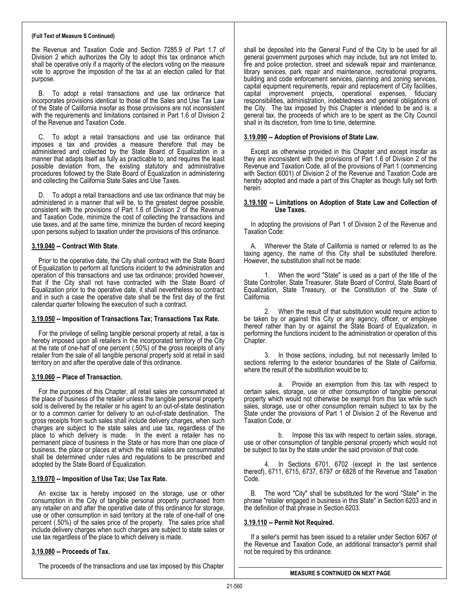#### (Full Text of Measure S Continued)

the Revenue and Taxation Code and Section 7285.9 of Part 1.7 of Division 2 which authorizes the City to adopt this tax ordinance which shall be operative only if a majority of the electors voting on the measure vote to approve the imposition of the tax at an election called for that purpose.

B. To adopt a retail transactions and use tax ordinance that incorporates provisions identical to those of the Sales and Use Tax Law of the State of California insofar as those provisions are not inconsistent with the requirements and limitations contained in Part 1.6 of Division 2 of the Revenue and Taxation Code.

C. To adopt a retail transactions and use tax ordinance that imposes a tax and provides a measure therefore that may be administered and collected by the State Board of Equalization in a manner that adapts itself as fully as practicable to, and requires the least possible deviation from, the existing statutory and administrative procedures followed by the State Board of Equalization in administering and collecting the California State Sales and Use Taxes.

D. To adopt a retail transactions and use tax ordinance that may be administered in a manner that will be, to the greatest degree possible, consistent with the provisions of Part 1.6 of Division 2 of the Revenue and Taxation Code, minimize the cost of collecting the transactions and use taxes, and at the same time, minimize the burden of record keeping upon persons subject to taxation under the provisions of this ordinance.

#### 3.19.040 -- Contract With State.

Prior to the operative date, the City shall contract with the State Board of Equalization to perform all functions incident to the administration and operation of this transactions and use tax ordinance; provided however, that if the City shall not have contracted with the State Board of Equalization prior to the operative date, it shall nevertheless so contract and in such a case the operative date shall be the first day of the first calendar quarter following the execution of such a contract.

#### 3.19.050 -- Imposition of Transactions Tax; Transactions Tax Rate.

For the privilege of selling tangible personal property at retail, a tax is hereby imposed upon all retailers in the incorporated territory of the City at the rate of one-half of one percent (.50%) of the gross receipts of any retailer from the sale of all tangible personal property sold at retail in said territory on and after the operative date of this ordinance.

# 3.19.060 -- Place of Transaction.

For the purposes of this Chapter, all retail sales are consummated at the place of business of the retailer unless the tangible personal property sold is delivered by the retailer or his agent to an out-of-state destination or to a common carrier for delivery to an out-of-state destination. The gross receipts from such sales shall include delivery charges, when such charges are subject to the state sales and use tax, regardless of the place to which delivery is made. In the event a retailer has no permanent place of business in the State or has more than one place of business, the place or places at which the retail sales are consummated shall be determined under rules and regulations to be prescribed and adopted by the State Board of Equalization.

#### 3.19.070 -- Imposition of Use Tax; Use Tax Rate.

An excise tax is hereby imposed on the storage, use or other consumption in the City of tangible personal property purchased from any retailer on and after the operative date of this ordinance for storage, use or other consumption in said territory at the rate of one-half of one percent (.50%) of the sales price of the property. The sales price shall include delivery charges when such charges are subject to state sales or use tax regardless of the place to which delivery is made.

# 3.19.080 -- Proceeds of Tax.

The proceeds of the transactions and use tax imposed by this Chapter

shall be deposited into the General Fund of the City to be used for all general government purposes which may include, but are not limited to, fire and police protection, street and sidewalk repair and maintenance, library services, park repair and maintenance, recreational programs, building and code enforcement services, planning and zoning services, capital equipment requirements, repair and replacement of City facilities, capital improvement projects, operational expenses, fiduciary responsibilities, administration, indebtedness and general obligations of the City. The tax imposed by this Chapter is intended to be and is, a general tax, the proceeds of which are to be spent as the City Council shall in its discretion, from time to time, determine.

#### 3.19.090 -- Adoption of Provisions of State Law.

Except as otherwise provided in this Chapter and except insofar as they are inconsistent with the provisions of Part 1.6 of Division 2 of the Revenue and Taxation Code, all of the provisions of Part 1 (commencing with Section 6001) of Division 2 of the Revenue and Taxation Code are hereby adopted and made a part of this Chapter as though fully set forth herein.

#### 3.19.100 -- Limitations on Adoption of State Law and Collection of Use Taxes.

In adopting the provisions of Part 1 of Division 2 of the Revenue and Taxation Code:

A. Wherever the State of California is named or referred to as the taxing agency, the name of this City shall be substituted therefore. However, the substitution shall not be made:

 1. When the word "State" is used as a part of the title of the State Controller, State Treasurer, State Board of Control, State Board of Equalization, State Treasury, or the Constitution of the State of California.

 2. When the result of that substitution would require action to be taken by or against this City or any agency, officer, or employee thereof rather than by or against the State Board of Equalization, in performing the functions incident to the administration or operation of this Chapter.

In those sections, including, but not necessarily limited to sections referring to the exterior boundaries of the State of California, where the result of the substitution would be to:

 a. Provide an exemption from this tax with respect to certain sales, storage, use or other consumption of tangible personal property which would not otherwise be exempt from this tax while such sales, storage, use or other consumption remain subject to tax by the State under the provisions of Part 1 of Division 2 of the Revenue and Taxation Code, or

 b. Impose this tax with respect to certain sales, storage, use or other consumption of tangible personal property which would not be subject to tax by the state under the said provision of that code.

 4. In Sections 6701, 6702 (except in the last sentence thereof), 6711, 6715, 6737, 6797 or 6828 of the Revenue and Taxation Code.

B. The word "City" shall be substituted for the word "State" in the phrase "retailer engaged in business in this State" in Section 6203 and in the definition of that phrase in Section 6203.

#### 3.19.110 -- Permit Not Required.

If a seller's permit has been issued to a retailer under Section 6067 of the Revenue and Taxation Code, an additional transactor's permit shall not be required by this ordinance.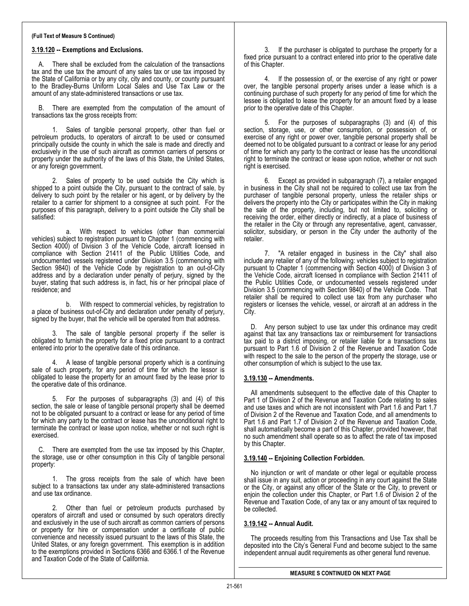#### (Full Text of Measure S Continued)

#### 3.19.120 -- Exemptions and Exclusions.

There shall be excluded from the calculation of the transactions tax and the use tax the amount of any sales tax or use tax imposed by the State of California or by any city, city and county, or county pursuant to the Bradley-Burns Uniform Local Sales and Use Tax Law or the amount of any state-administered transactions or use tax.

B. There are exempted from the computation of the amount of transactions tax the gross receipts from:

1. Sales of tangible personal property, other than fuel or petroleum products, to operators of aircraft to be used or consumed principally outside the county in which the sale is made and directly and exclusively in the use of such aircraft as common carriers of persons or property under the authority of the laws of this State, the United States, or any foreign government.

2. Sales of property to be used outside the City which is shipped to a point outside the City, pursuant to the contract of sale, by delivery to such point by the retailer or his agent, or by delivery by the retailer to a carrier for shipment to a consignee at such point. For the purposes of this paragraph, delivery to a point outside the City shall be satisfied:

 a. With respect to vehicles (other than commercial vehicles) subject to registration pursuant to Chapter 1 (commencing with Section 4000) of Division 3 of the Vehicle Code, aircraft licensed in compliance with Section 21411 of the Public Utilities Code, and undocumented vessels registered under Division 3.5 (commencing with Section 9840) of the Vehicle Code by registration to an out-of-City address and by a declaration under penalty of perjury, signed by the buyer, stating that such address is, in fact, his or her principal place of residence; and

 b. With respect to commercial vehicles, by registration to a place of business out-of-City and declaration under penalty of perjury, signed by the buyer, that the vehicle will be operated from that address.

3. The sale of tangible personal property if the seller is obligated to furnish the property for a fixed price pursuant to a contract entered into prior to the operative date of this ordinance.

4. A lease of tangible personal property which is a continuing sale of such property, for any period of time for which the lessor is obligated to lease the property for an amount fixed by the lease prior to the operative date of this ordinance.

5. For the purposes of subparagraphs (3) and (4) of this section, the sale or lease of tangible personal property shall be deemed not to be obligated pursuant to a contract or lease for any period of time for which any party to the contract or lease has the unconditional right to terminate the contract or lease upon notice, whether or not such right is exercised.

C. There are exempted from the use tax imposed by this Chapter, the storage, use or other consumption in this City of tangible personal property:

1. The gross receipts from the sale of which have been subject to a transactions tax under any state-administered transactions and use tax ordinance.

2. Other than fuel or petroleum products purchased by operators of aircraft and used or consumed by such operators directly and exclusively in the use of such aircraft as common carriers of persons or property for hire or compensation under a certificate of public convenience and necessity issued pursuant to the laws of this State, the United States, or any foreign government. This exemption is in addition to the exemptions provided in Sections 6366 and 6366.1 of the Revenue and Taxation Code of the State of California.

3. If the purchaser is obligated to purchase the property for a fixed price pursuant to a contract entered into prior to the operative date of this Chapter.

4. If the possession of, or the exercise of any right or power over, the tangible personal property arises under a lease which is a continuing purchase of such property for any period of time for which the lessee is obligated to lease the property for an amount fixed by a lease prior to the operative date of this Chapter.

5. For the purposes of subparagraphs (3) and (4) of this section, storage, use, or other consumption, or possession of, or exercise of any right or power over, tangible personal property shall be deemed not to be obligated pursuant to a contract or lease for any period of time for which any party to the contract or lease has the unconditional right to terminate the contract or lease upon notice, whether or not such right is exercised.

6. Except as provided in subparagraph (7), a retailer engaged in business in the City shall not be required to collect use tax from the purchaser of tangible personal property, unless the retailer ships or delivers the property into the City or participates within the City in making the sale of the property, including, but not limited to, soliciting or receiving the order, either directly or indirectly, at a place of business of the retailer in the City or through any representative, agent, canvasser, solicitor, subsidiary, or person in the City under the authority of the retailer.

7. "A retailer engaged in business in the City" shall also include any retailer of any of the following: vehicles subject to registration pursuant to Chapter 1 (commencing with Section 4000) of Division 3 of the Vehicle Code, aircraft licensed in compliance with Section 21411 of the Public Utilities Code, or undocumented vessels registered under Division 3.5 (commencing with Section 9840) of the Vehicle Code. That retailer shall be required to collect use tax from any purchaser who registers or licenses the vehicle, vessel, or aircraft at an address in the City.

D. Any person subject to use tax under this ordinance may credit against that tax any transactions tax or reimbursement for transactions tax paid to a district imposing, or retailer liable for a transactions tax pursuant to Part 1.6 of Division 2 of the Revenue and Taxation Code with respect to the sale to the person of the property the storage, use or other consumption of which is subject to the use tax.

#### 3.19.130 -- Amendments.

All amendments subsequent to the effective date of this Chapter to Part 1 of Division 2 of the Revenue and Taxation Code relating to sales and use taxes and which are not inconsistent with Part 1.6 and Part 1.7 of Division 2 of the Revenue and Taxation Code, and all amendments to Part 1.6 and Part 1.7 of Division 2 of the Revenue and Taxation Code, shall automatically become a part of this Chapter, provided however, that no such amendment shall operate so as to affect the rate of tax imposed by this Chapter.

#### 3.19.140 -- Enjoining Collection Forbidden.

No injunction or writ of mandate or other legal or equitable process shall issue in any suit, action or proceeding in any court against the State or the City, or against any officer of the State or the City, to prevent or enjoin the collection under this Chapter, or Part 1.6 of Division 2 of the Revenue and Taxation Code, of any tax or any amount of tax required to be collected.

# 3.19.142 -- Annual Audit.

The proceeds resulting from this Transactions and Use Tax shall be deposited into the City's General Fund and become subject to the same independent annual audit requirements as other general fund revenue.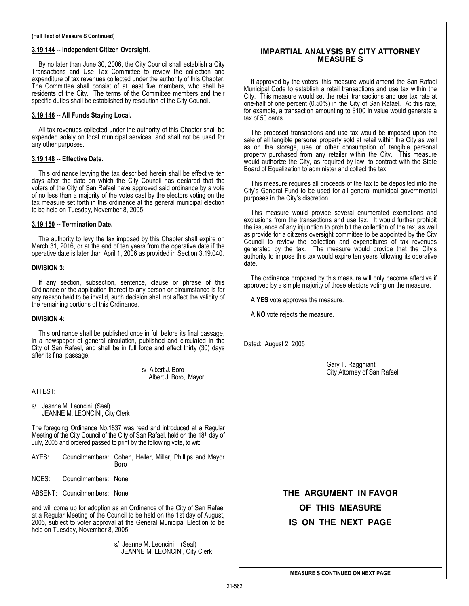#### (Full Text of Measure S Continued)

#### 3.19.144 -- Independent Citizen Oversight.

By no later than June 30, 2006, the City Council shall establish a City Transactions and Use Tax Committee to review the collection and expenditure of tax revenues collected under the authority of this Chapter. The Committee shall consist of at least five members, who shall be residents of the City. The terms of the Committee members and their specific duties shall be established by resolution of the City Council.

### 3.19.146 -- All Funds Staying Local.

All tax revenues collected under the authority of this Chapter shall be expended solely on local municipal services, and shall not be used for any other purposes.

#### 3.19.148 -- Effective Date.

This ordinance levying the tax described herein shall be effective ten days after the date on which the City Council has declared that the voters of the City of San Rafael have approved said ordinance by a vote of no less than a majority of the votes cast by the electors voting on the tax measure set forth in this ordinance at the general municipal election to be held on Tuesday, November 8, 2005.

#### 3.19.150 -- Termination Date.

The authority to levy the tax imposed by this Chapter shall expire on March 31, 2016, or at the end of ten years from the operative date if the operative date is later than April 1, 2006 as provided in Section 3.19.040.

#### DIVISION 3:

If any section, subsection, sentence, clause or phrase of this Ordinance or the application thereof to any person or circumstance is for any reason held to be invalid, such decision shall not affect the validity of the remaining portions of this Ordinance.

#### DIVISION 4:

This ordinance shall be published once in full before its final passage, in a newspaper of general circulation, published and circulated in the City of San Rafael, and shall be in full force and effect thirty (30) days after its final passage.

> s/ Albert J. Boro Albert J. Boro, Mayor

#### ATTEST:

s/ Jeanne M. Leoncini (Seal) JEANNE M. LEONCINI, City Clerk

The foregoing Ordinance No.1837 was read and introduced at a Regular Meeting of the City Council of the City of San Rafael, held on the 18th day of July, 2005 and ordered passed to print by the following vote, to wit:

| AYES: | Councilmembers: Cohen, Heller, Miller, Phillips and Mayor |             |  |  |
|-------|-----------------------------------------------------------|-------------|--|--|
|       |                                                           | <b>Boro</b> |  |  |

NOES: Councilmembers: None

ABSENT: Councilmembers: None

and will come up for adoption as an Ordinance of the City of San Rafael at a Regular Meeting of the Council to be held on the 1st day of August, 2005, subject to voter approval at the General Municipal Election to be held on Tuesday, November 8, 2005.

> s/ Jeanne M. Leoncini (Seal) JEANNE M. LEONCINI, City Clerk

# **IMPARTIAL ANALYSIS BY CITY ATTORNEY MEASURE S**

If approved by the voters, this measure would amend the San Rafael Municipal Code to establish a retail transactions and use tax within the City. This measure would set the retail transactions and use tax rate at one-half of one percent (0.50%) in the City of San Rafael. At this rate, for example, a transaction amounting to \$100 in value would generate a tax of 50 cents.

The proposed transactions and use tax would be imposed upon the sale of all tangible personal property sold at retail within the City as well as on the storage, use or other consumption of tangible personal property purchased from any retailer within the City. This measure would authorize the City, as required by law, to contract with the State Board of Equalization to administer and collect the tax.

This measure requires all proceeds of the tax to be deposited into the City's General Fund to be used for all general municipal governmental purposes in the City's discretion.

This measure would provide several enumerated exemptions and exclusions from the transactions and use tax. It would further prohibit the issuance of any injunction to prohibit the collection of the tax, as well as provide for a citizens oversight committee to be appointed by the City Council to review the collection and expenditures of tax revenues generated by the tax. The measure would provide that the City's authority to impose this tax would expire ten years following its operative date.

The ordinance proposed by this measure will only become effective if approved by a simple majority of those electors voting on the measure.

A YES vote approves the measure.

A NO vote rejects the measure.

Dated: August 2, 2005

Gary T. Ragghianti City Attorney of San Rafael

**THE ARGUMENT IN FAVOR OF THIS MEASURE IS ON THE NEXT PAGE**